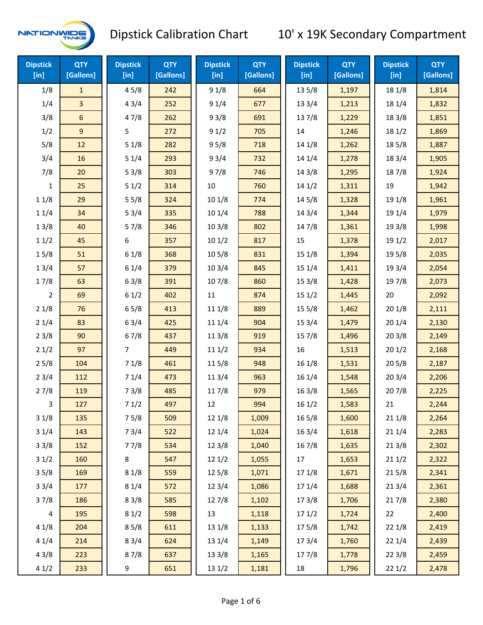

| <b>Dipstick</b><br>[in] | <b>QTY</b><br>[Gallons] | <b>Dipstick</b><br>$[$ in] | <b>QTY</b><br>[Gallons] | <b>Dipstick</b><br>[in] | <b>QTY</b><br>[Gallons] | <b>Dipstick</b><br>$[$ in] | <b>QTY</b><br>[Gallons] | <b>Dipstick</b><br>[in] | <b>QTY</b><br>[Gallons] |
|-------------------------|-------------------------|----------------------------|-------------------------|-------------------------|-------------------------|----------------------------|-------------------------|-------------------------|-------------------------|
| 1/8                     | $\mathbf{1}$            | 45/8                       | 242                     | 91/8                    | 664                     | 13 5/8                     | 1,197                   | 18 1/8                  | 1,814                   |
| 1/4                     | $\overline{3}$          | 43/4                       | 252                     | 91/4                    | 677                     | 133/4                      | 1,213                   | 18 1/4                  | 1,832                   |
| 3/8                     | $\sqrt{6}$              | 47/8                       | 262                     | 93/8                    | 691                     | 137/8                      | 1,229                   | 18 3/8                  | 1,851                   |
| 1/2                     | $\mathsf g$             | 5                          | 272                     | 91/2                    | 705                     | 14                         | 1,246                   | 18 1/2                  | 1,869                   |
| 5/8                     | 12                      | 51/8                       | 282                     | 95/8                    | 718                     | 14 1/8                     | 1,262                   | 185/8                   | 1,887                   |
| 3/4                     | 16                      | 51/4                       | 293                     | 93/4                    | 732                     | 14 1/4                     | 1,278                   | 18 3/4                  | 1,905                   |
| 7/8                     | 20                      | 53/8                       | 303                     | 97/8                    | 746                     | 14 3/8                     | 1,295                   | 187/8                   | 1,924                   |
| 1                       | 25                      | 51/2                       | 314                     | 10                      | 760                     | 141/2                      | 1,311                   | 19                      | 1,942                   |
| 11/8                    | 29                      | 55/8                       | 324                     | 10 1/8                  | 774                     | 14 5/8                     | 1,328                   | 19 1/8                  | 1,961                   |
| 11/4                    | 34                      | 53/4                       | 335                     | 101/4                   | 788                     | 143/4                      | 1,344                   | 19 1/4                  | 1,979                   |
| 13/8                    | 40                      | 57/8                       | 346                     | 103/8                   | 802                     | 147/8                      | 1,361                   | 19 3/8                  | 1,998                   |
| 11/2                    | 45                      | 6                          | 357                     | 101/2                   | 817                     | 15                         | 1,378                   | 19 1/2                  | 2,017                   |
| 15/8                    | 51                      | 61/8                       | 368                     | 10 <sub>5/8</sub>       | 831                     | 15 1/8                     | 1,394                   | 19 5/8                  | 2,035                   |
| 13/4                    | 57                      | 61/4                       | 379                     | 103/4                   | 845                     | 151/4                      | 1,411                   | 19 3/4                  | 2,054                   |
| 17/8                    | 63                      | 63/8                       | 391                     | 107/8                   | 860                     | 153/8                      | 1,428                   | 197/8                   | 2,073                   |
| $\overline{2}$          | 69                      | 61/2                       | 402                     | 11                      | 874                     | 151/2                      | 1,445                   | 20                      | 2,092                   |
| 21/8                    | 76                      | 65/8                       | 413                     | 11 1/8                  | 889                     | 155/8                      | 1,462                   | 201/8                   | 2,111                   |
| 21/4                    | 83                      | 63/4                       | 425                     | 11 1/4                  | 904                     | 153/4                      | 1,479                   | 201/4                   | 2,130                   |
| 23/8                    | 90                      | 67/8                       | 437                     | 11 3/8                  | 919                     | 15 7/8                     | 1,496                   | 203/8                   | 2,149                   |
| 21/2                    | 97                      | 7                          | 449                     | 111/2                   | 934                     | 16                         | 1,513                   | 201/2                   | 2,168                   |
| 25/8                    | 104                     | 71/8                       | 461                     | 115/8                   | 948                     | 16 1/8                     | 1,531                   | 205/8                   | 2,187                   |
| 23/4                    | 112                     | 71/4                       | 473                     | 11 3/4                  | 963                     | 16 1/4                     | 1,548                   | 203/4                   | 2,206                   |
| 27/8                    | 119                     | 73/8                       | 485                     | 11 7/8                  | 979                     | 163/8                      | 1,565                   | 207/8                   | 2,225                   |
| 3                       | 127                     | 71/2                       | 497                     | 12                      | 994                     | 161/2                      | 1,583                   | 21                      | 2,244                   |
| 31/8                    | 135                     | 75/8                       | 509                     | 12 1/8                  | 1,009                   | 165/8                      | 1,600                   | 211/8                   | 2,264                   |
| 31/4                    | 143                     | 73/4                       | 522                     | 12 1/4                  | 1,024                   | 16 3/4                     | 1,618                   | 211/4                   | 2,283                   |
| 33/8                    | 152                     | 77/8                       | 534                     | 12 3/8                  | 1,040                   | 16 7/8                     | 1,635                   | 213/8                   | 2,302                   |
| 31/2                    | 160                     | 8                          | 547                     | 121/2                   | 1,055                   | 17                         | 1,653                   | 211/2                   | 2,322                   |
| 35/8                    | 169                     | 81/8                       | 559                     | 125/8                   | 1,071                   | 17 1/8                     | 1,671                   | 215/8                   | 2,341                   |
| 33/4                    | 177                     | 81/4                       | 572                     | 123/4                   | 1,086                   | 17 1/4                     | 1,688                   | 213/4                   | 2,361                   |
| 37/8                    | 186                     | 83/8                       | 585                     | 127/8                   | 1,102                   | 173/8                      | 1,706                   | 217/8                   | 2,380                   |
| $\overline{4}$          | 195                     | 81/2                       | 598                     | 13                      | 1,118                   | 171/2                      | 1,724                   | 22                      | 2,400                   |
| 41/8                    | 204                     | 85/8                       | 611                     | 13 1/8                  | 1,133                   | 175/8                      | 1,742                   | 22 1/8                  | 2,419                   |
| 41/4                    | 214                     | 83/4                       | 624                     | 13 1/4                  | 1,149                   | 17 3/4                     | 1,760                   | 221/4                   | 2,439                   |
| 43/8                    | 223                     | 87/8                       | 637                     | 13 3/8                  | 1,165                   | 17 7/8                     | 1,778                   | 223/8                   | 2,459                   |
| 41/2                    | 233                     | 9                          | 651                     | 13 1/2                  | 1,181                   | 18                         | 1,796                   | 221/2                   | 2,478                   |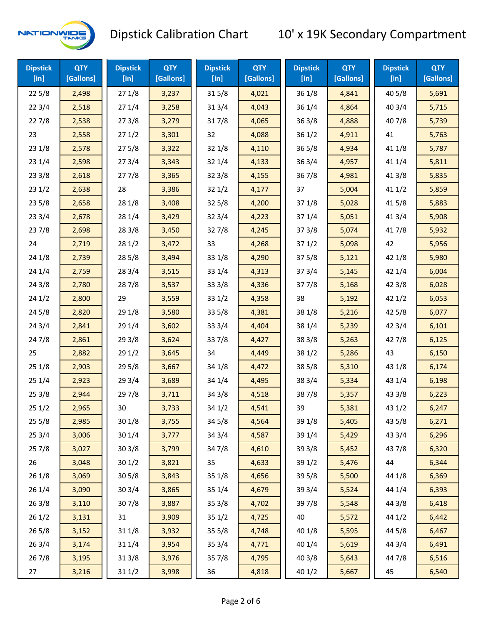

| <b>Dipstick</b><br>$[$ in] | <b>QTY</b><br>[Gallons] | <b>Dipstick</b><br>$[$ in] | <b>QTY</b><br>[Gallons] | <b>Dipstick</b><br>[in] | <b>QTY</b><br>[Gallons] | <b>Dipstick</b><br>$[$ in] | <b>QTY</b><br>[Gallons] | <b>Dipstick</b><br>$[$ in] | <b>QTY</b><br>[Gallons] |
|----------------------------|-------------------------|----------------------------|-------------------------|-------------------------|-------------------------|----------------------------|-------------------------|----------------------------|-------------------------|
| 225/8                      | 2,498                   | 271/8                      | 3,237                   | 315/8                   | 4,021                   | 36 1/8                     | 4,841                   | 40 5/8                     | 5,691                   |
| 223/4                      | 2,518                   | 271/4                      | 3,258                   | 313/4                   | 4,043                   | 36 1/4                     | 4,864                   | 403/4                      | 5,715                   |
| 227/8                      | 2,538                   | 273/8                      | 3,279                   | 317/8                   | 4,065                   | 36 3/8                     | 4,888                   | 407/8                      | 5,739                   |
| 23                         | 2,558                   | 271/2                      | 3,301                   | 32                      | 4,088                   | 36 1/2                     | 4,911                   | 41                         | 5,763                   |
| 231/8                      | 2,578                   | 275/8                      | 3,322                   | 32 1/8                  | 4,110                   | 36 5/8                     | 4,934                   | 41 1/8                     | 5,787                   |
| 231/4                      | 2,598                   | 273/4                      | 3,343                   | 32 1/4                  | 4,133                   | 36 3/4                     | 4,957                   | 41 1/4                     | 5,811                   |
| 233/8                      | 2,618                   | 277/8                      | 3,365                   | 323/8                   | 4,155                   | 367/8                      | 4,981                   | 41 3/8                     | 5,835                   |
| 231/2                      | 2,638                   | 28                         | 3,386                   | 321/2                   | 4,177                   | 37                         | 5,004                   | 411/2                      | 5,859                   |
| 235/8                      | 2,658                   | 28 1/8                     | 3,408                   | 325/8                   | 4,200                   | 37 1/8                     | 5,028                   | 41 5/8                     | 5,883                   |
| 233/4                      | 2,678                   | 28 1/4                     | 3,429                   | 32 3/4                  | 4,223                   | 37 1/4                     | 5,051                   | 41 3/4                     | 5,908                   |
| 237/8                      | 2,698                   | 28 3/8                     | 3,450                   | 327/8                   | 4,245                   | 373/8                      | 5,074                   | 417/8                      | 5,932                   |
| 24                         | 2,719                   | 281/2                      | 3,472                   | 33                      | 4,268                   | 371/2                      | 5,098                   | 42                         | 5,956                   |
| 24 1/8                     | 2,739                   | 285/8                      | 3,494                   | 33 1/8                  | 4,290                   | 37 5/8                     | 5,121                   | 42 1/8                     | 5,980                   |
| 241/4                      | 2,759                   | 283/4                      | 3,515                   | 33 1/4                  | 4,313                   | 37 3/4                     | 5,145                   | 42 1/4                     | 6,004                   |
| 243/8                      | 2,780                   | 287/8                      | 3,537                   | 33 3/8                  | 4,336                   | 377/8                      | 5,168                   | 42 3/8                     | 6,028                   |
| 241/2                      | 2,800                   | 29                         | 3,559                   | 331/2                   | 4,358                   | 38                         | 5,192                   | 421/2                      | 6,053                   |
| 245/8                      | 2,820                   | 29 1/8                     | 3,580                   | 33 5/8                  | 4,381                   | 38 1/8                     | 5,216                   | 42 5/8                     | 6,077                   |
| 243/4                      | 2,841                   | 29 1/4                     | 3,602                   | 33 3/4                  | 4,404                   | 38 1/4                     | 5,239                   | 423/4                      | 6,101                   |
| 24 7/8                     | 2,861                   | 293/8                      | 3,624                   | 337/8                   | 4,427                   | 38 3/8                     | 5,263                   | 42 7/8                     | 6,125                   |
| 25                         | 2,882                   | 291/2                      | 3,645                   | 34                      | 4,449                   | 38 1/2                     | 5,286                   | 43                         | 6,150                   |
| 251/8                      | 2,903                   | 29 5/8                     | 3,667                   | 34 1/8                  | 4,472                   | 38 5/8                     | 5,310                   | 43 1/8                     | 6,174                   |
| 251/4                      | 2,923                   | 29 3/4                     | 3,689                   | 34 1/4                  | 4,495                   | 38 3/4                     | 5,334                   | 43 1/4                     | 6,198                   |
| 253/8                      | 2,944                   | 297/8                      | 3,711                   | 34 3/8                  | 4,518                   | 387/8                      | 5,357                   | 43 3/8                     | 6,223                   |
| 251/2                      | 2,965                   | 30                         | 3,733                   | 34 1/2                  | 4,541                   | 39                         | 5,381                   | 43 1/2                     | 6,247                   |
| 255/8                      | 2,985                   | 30 1/8                     | 3,755                   | 34 5/8                  | 4,564                   | 39 1/8                     | 5,405                   | 43 5/8                     | 6,271                   |
| 253/4                      | 3,006                   | 301/4                      | 3,777                   | 34 3/4                  | 4,587                   | 39 1/4                     | 5,429                   | 43 3/4                     | 6,296                   |
| 257/8                      | 3,027                   | 30 3/8                     | 3,799                   | 347/8                   | 4,610                   | 39 3/8                     | 5,452                   | 437/8                      | 6,320                   |
| 26                         | 3,048                   | 30 1/2                     | 3,821                   | 35                      | 4,633                   | 39 1/2                     | 5,476                   | 44                         | 6,344                   |
| 26 1/8                     | 3,069                   | 30 5/8                     | 3,843                   | 35 1/8                  | 4,656                   | 39 5/8                     | 5,500                   | 44 1/8                     | 6,369                   |
| 26 1/4                     | 3,090                   | 30 3/4                     | 3,865                   | 35 1/4                  | 4,679                   | 39 3/4                     | 5,524                   | 44 1/4                     | 6,393                   |
| 263/8                      | 3,110                   | 307/8                      | 3,887                   | 35 3/8                  | 4,702                   | 397/8                      | 5,548                   | 44 3/8                     | 6,418                   |
| 261/2                      | 3,131                   | 31                         | 3,909                   | 35 1/2                  | 4,725                   | 40                         | 5,572                   | 44 1/2                     | 6,442                   |
| 265/8                      | 3,152                   | 31 1/8                     | 3,932                   | 35 5/8                  | 4,748                   | 40 1/8                     | 5,595                   | 44 5/8                     | 6,467                   |
| 263/4                      | 3,174                   | 31 1/4                     | 3,954                   | 35 3/4                  | 4,771                   | 40 1/4                     | 5,619                   | 44 3/4                     | 6,491                   |
| 267/8                      | 3,195                   | 31 3/8                     | 3,976                   | 357/8                   | 4,795                   | 40 3/8                     | 5,643                   | 447/8                      | 6,516                   |
| 27                         | 3,216                   | 311/2                      | 3,998                   | 36                      | 4,818                   | 40 1/2                     | 5,667                   | 45                         | 6,540                   |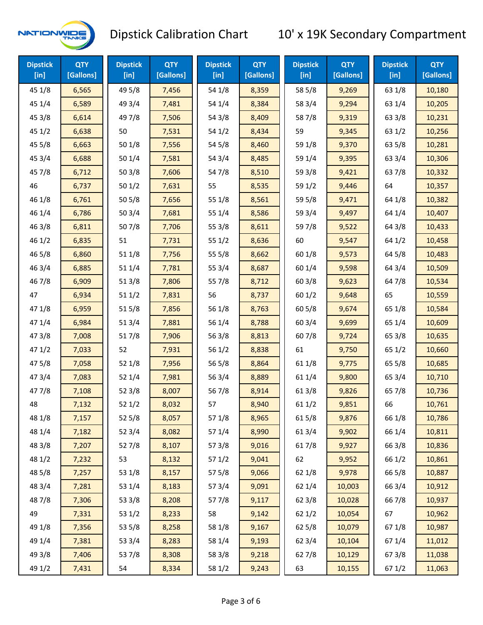

| <b>Dipstick</b><br>[in] | <b>QTY</b><br>[Gallons] | <b>Dipstick</b><br>$[$ in] | <b>QTY</b><br>[Gallons] | <b>Dipstick</b><br>$[$ in] | <b>QTY</b><br>[Gallons] | <b>Dipstick</b><br>$[$ in] | <b>QTY</b><br>[Gallons] | <b>Dipstick</b><br>$[$ in] | <b>QTY</b><br>[Gallons] |
|-------------------------|-------------------------|----------------------------|-------------------------|----------------------------|-------------------------|----------------------------|-------------------------|----------------------------|-------------------------|
| 45 1/8                  | 6,565                   | 49 5/8                     | 7,456                   | 54 1/8                     | 8,359                   | 58 5/8                     | 9,269                   | 63 1/8                     | 10,180                  |
| 45 1/4                  | 6,589                   | 49 3/4                     | 7,481                   | 54 1/4                     | 8,384                   | 58 3/4                     | 9,294                   | 63 1/4                     | 10,205                  |
| 45 3/8                  | 6,614                   | 49 7/8                     | 7,506                   | 54 3/8                     | 8,409                   | 587/8                      | 9,319                   | 63 3/8                     | 10,231                  |
| 45 1/2                  | 6,638                   | 50                         | 7,531                   | 54 1/2                     | 8,434                   | 59                         | 9,345                   | 63 1/2                     | 10,256                  |
| 45 5/8                  | 6,663                   | 50 1/8                     | 7,556                   | 54 5/8                     | 8,460                   | 59 1/8                     | 9,370                   | 63 5/8                     | 10,281                  |
| 453/4                   | 6,688                   | 50 1/4                     | 7,581                   | 54 3/4                     | 8,485                   | 59 1/4                     | 9,395                   | 63 3/4                     | 10,306                  |
| 45 7/8                  | 6,712                   | 503/8                      | 7,606                   | 54 7/8                     | 8,510                   | 59 3/8                     | 9,421                   | 637/8                      | 10,332                  |
| 46                      | 6,737                   | 501/2                      | 7,631                   | 55                         | 8,535                   | 59 1/2                     | 9,446                   | 64                         | 10,357                  |
| 46 1/8                  | 6,761                   | 505/8                      | 7,656                   | 55 1/8                     | 8,561                   | 59 5/8                     | 9,471                   | 64 1/8                     | 10,382                  |
| 46 1/4                  | 6,786                   | 503/4                      | 7,681                   | 55 1/4                     | 8,586                   | 59 3/4                     | 9,497                   | 64 1/4                     | 10,407                  |
| 46 3/8                  | 6,811                   | 507/8                      | 7,706                   | 55 3/8                     | 8,611                   | 59 7/8                     | 9,522                   | 64 3/8                     | 10,433                  |
| 46 1/2                  | 6,835                   | 51                         | 7,731                   | 55 1/2                     | 8,636                   | 60                         | 9,547                   | 64 1/2                     | 10,458                  |
| 46 5/8                  | 6,860                   | 51 1/8                     | 7,756                   | 55 5/8                     | 8,662                   | 60 1/8                     | 9,573                   | 64 5/8                     | 10,483                  |
| 46 3/4                  | 6,885                   | 51 1/4                     | 7,781                   | 55 3/4                     | 8,687                   | 60 1/4                     | 9,598                   | 64 3/4                     | 10,509                  |
| 46 7/8                  | 6,909                   | 513/8                      | 7,806                   | 55 7/8                     | 8,712                   | 60 3/8                     | 9,623                   | 64 7/8                     | 10,534                  |
| 47                      | 6,934                   | 511/2                      | 7,831                   | 56                         | 8,737                   | 601/2                      | 9,648                   | 65                         | 10,559                  |
| 47 1/8                  | 6,959                   | 515/8                      | 7,856                   | 56 1/8                     | 8,763                   | 60 5/8                     | 9,674                   | 65 1/8                     | 10,584                  |
| 47 1/4                  | 6,984                   | 51 3/4                     | 7,881                   | 56 1/4                     | 8,788                   | 60 3/4                     | 9,699                   | 65 1/4                     | 10,609                  |
| 47 3/8                  | 7,008                   | 517/8                      | 7,906                   | 563/8                      | 8,813                   | 607/8                      | 9,724                   | 65 3/8                     | 10,635                  |
| 471/2                   | 7,033                   | 52                         | 7,931                   | 56 1/2                     | 8,838                   | 61                         | 9,750                   | 65 1/2                     | 10,660                  |
| 475/8                   | 7,058                   | 52 1/8                     | 7,956                   | 56 5/8                     | 8,864                   | 61 1/8                     | 9,775                   | 65 5/8                     | 10,685                  |
| 47 3/4                  | 7,083                   | 52 1/4                     | 7,981                   | 56 3/4                     | 8,889                   | 61 1/4                     | 9,800                   | 65 3/4                     | 10,710                  |
| 47 7/8                  | 7,108                   | 52 3/8                     | 8,007                   | 567/8                      | 8,914                   | 61 3/8                     | 9,826                   | 65 7/8                     | 10,736                  |
| 48                      | 7,132                   | 52 1/2                     | 8,032                   | 57                         | 8,940                   | 611/2                      | 9,851                   | 66                         | 10,761                  |
| 48 1/8                  | 7,157                   | 52 5/8                     | 8,057                   | 57 1/8                     | 8,965                   | 615/8                      | 9,876                   | 66 1/8                     | 10,786                  |
| 48 1/4                  | 7,182                   | 52 3/4                     | 8,082                   | 57 1/4                     | 8,990                   | 61 3/4                     | 9,902                   | 66 1/4                     | 10,811                  |
| 48 3/8                  | 7,207                   | 527/8                      | 8,107                   | 57 3/8                     | 9,016                   | 617/8                      | 9,927                   | 66 3/8                     | 10,836                  |
| 48 1/2                  | 7,232                   | 53                         | 8,132                   | 571/2                      | 9,041                   | 62                         | 9,952                   | 66 1/2                     | 10,861                  |
| 48 5/8                  | 7,257                   | 53 1/8                     | 8,157                   | 57 5/8                     | 9,066                   | 62 1/8                     | 9,978                   | 66 5/8                     | 10,887                  |
| 48 3/4                  | 7,281                   | 53 1/4                     | 8,183                   | 573/4                      | 9,091                   | 62 1/4                     | 10,003                  | 66 3/4                     | 10,912                  |
| 487/8                   | 7,306                   | 53 3/8                     | 8,208                   | 577/8                      | 9,117                   | 62 3/8                     | 10,028                  | 667/8                      | 10,937                  |
| 49                      | 7,331                   | 53 1/2                     | 8,233                   | 58                         | 9,142                   | 621/2                      | 10,054                  | 67                         | 10,962                  |
| 49 1/8                  | 7,356                   | 53 5/8                     | 8,258                   | 58 1/8                     | 9,167                   | 62 5/8                     | 10,079                  | 671/8                      | 10,987                  |
| 49 1/4                  | 7,381                   | 53 3/4                     | 8,283                   | 58 1/4                     | 9,193                   | 62 3/4                     | 10,104                  | 671/4                      | 11,012                  |
| 49 3/8                  | 7,406                   | 537/8                      | 8,308                   | 58 3/8                     | 9,218                   | 627/8                      | 10,129                  | 673/8                      | 11,038                  |
| 49 1/2                  | 7,431                   | 54                         | 8,334                   | 58 1/2                     | 9,243                   | 63                         | 10,155                  | 67 1/2                     | 11,063                  |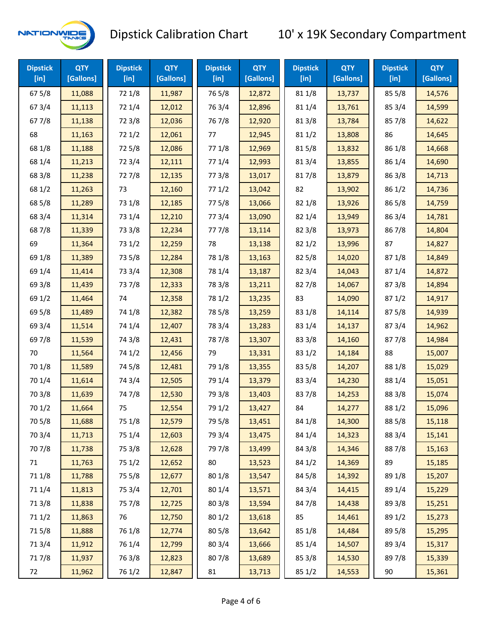

| <b>Dipstick</b><br>[in] | <b>QTY</b><br>[Gallons] | <b>Dipstick</b><br>$[$ in] | <b>QTY</b><br>[Gallons] | <b>Dipstick</b><br>[in] | <b>QTY</b><br>[Gallons] | <b>Dipstick</b><br>$[$ in] | <b>QTY</b><br>[Gallons] | <b>Dipstick</b><br>$[$ in] | <b>QTY</b><br>[Gallons] |
|-------------------------|-------------------------|----------------------------|-------------------------|-------------------------|-------------------------|----------------------------|-------------------------|----------------------------|-------------------------|
| 67 5/8                  | 11,088                  | 72 1/8                     | 11,987                  | 765/8                   | 12,872                  | 81 1/8                     | 13,737                  | 85 5/8                     | 14,576                  |
| 67 3/4                  | 11,113                  | 72 1/4                     | 12,012                  | 763/4                   | 12,896                  | 81 1/4                     | 13,761                  | 85 3/4                     | 14,599                  |
| 677/8                   | 11,138                  | 72 3/8                     | 12,036                  | 767/8                   | 12,920                  | 81 3/8                     | 13,784                  | 857/8                      | 14,622                  |
| 68                      | 11,163                  | 72 1/2                     | 12,061                  | 77                      | 12,945                  | 81 1/2                     | 13,808                  | 86                         | 14,645                  |
| 68 1/8                  | 11,188                  | 725/8                      | 12,086                  | 77 1/8                  | 12,969                  | 815/8                      | 13,832                  | 86 1/8                     | 14,668                  |
| 68 1/4                  | 11,213                  | 72 3/4                     | 12,111                  | 77 1/4                  | 12,993                  | 813/4                      | 13,855                  | 86 1/4                     | 14,690                  |
| 68 3/8                  | 11,238                  | 727/8                      | 12,135                  | 77 3/8                  | 13,017                  | 817/8                      | 13,879                  | 86 3/8                     | 14,713                  |
| 68 1/2                  | 11,263                  | 73                         | 12,160                  | 771/2                   | 13,042                  | 82                         | 13,902                  | 86 1/2                     | 14,736                  |
| 68 5/8                  | 11,289                  | 73 1/8                     | 12,185                  | 775/8                   | 13,066                  | 82 1/8                     | 13,926                  | 86 5/8                     | 14,759                  |
| 68 3/4                  | 11,314                  | 73 1/4                     | 12,210                  | 773/4                   | 13,090                  | 82 1/4                     | 13,949                  | 863/4                      | 14,781                  |
| 687/8                   | 11,339                  | 73 3/8                     | 12,234                  | 777/8                   | 13,114                  | 82 3/8                     | 13,973                  | 867/8                      | 14,804                  |
| 69                      | 11,364                  | 73 1/2                     | 12,259                  | 78                      | 13,138                  | 821/2                      | 13,996                  | 87                         | 14,827                  |
| 69 1/8                  | 11,389                  | 73 5/8                     | 12,284                  | 78 1/8                  | 13,163                  | 82 5/8                     | 14,020                  | 871/8                      | 14,849                  |
| 69 1/4                  | 11,414                  | 73 3/4                     | 12,308                  | 78 1/4                  | 13,187                  | 82 3/4                     | 14,043                  | 87 1/4                     | 14,872                  |
| 69 3/8                  | 11,439                  | 737/8                      | 12,333                  | 78 3/8                  | 13,211                  | 827/8                      | 14,067                  | 873/8                      | 14,894                  |
| 69 1/2                  | 11,464                  | 74                         | 12,358                  | 78 1/2                  | 13,235                  | 83                         | 14,090                  | 871/2                      | 14,917                  |
| 69 5/8                  | 11,489                  | 74 1/8                     | 12,382                  | 78 5/8                  | 13,259                  | 83 1/8                     | 14,114                  | 87 5/8                     | 14,939                  |
| 69 3/4                  | 11,514                  | 74 1/4                     | 12,407                  | 78 3/4                  | 13,283                  | 83 1/4                     | 14,137                  | 87 3/4                     | 14,962                  |
| 697/8                   | 11,539                  | 74 3/8                     | 12,431                  | 787/8                   | 13,307                  | 83 3/8                     | 14,160                  | 877/8                      | 14,984                  |
| 70                      | 11,564                  | 74 1/2                     | 12,456                  | 79                      | 13,331                  | 83 1/2                     | 14,184                  | 88                         | 15,007                  |
| 70 1/8                  | 11,589                  | 74 5/8                     | 12,481                  | 79 1/8                  | 13,355                  | 83 5/8                     | 14,207                  | 88 1/8                     | 15,029                  |
| 70 1/4                  | 11,614                  | 74 3/4                     | 12,505                  | 79 1/4                  | 13,379                  | 83 3/4                     | 14,230                  | 88 1/4                     | 15,051                  |
| 70 3/8                  | 11,639                  | 747/8                      | 12,530                  | 79 3/8                  | 13,403                  | 837/8                      | 14,253                  | 88 3/8                     | 15,074                  |
| 70 1/2                  | 11,664                  | 75                         | 12,554                  | 79 1/2                  | 13,427                  | 84                         | 14,277                  | 88 1/2                     | 15,096                  |
| 70 5/8                  | 11,688                  | 75 1/8                     | 12,579                  | 79 5/8                  | 13,451                  | 84 1/8                     | 14,300                  | 88 5/8                     | 15,118                  |
| 70 3/4                  | 11,713                  | 75 1/4                     | 12,603                  | 79 3/4                  | 13,475                  | 84 1/4                     | 14,323                  | 88 3/4                     | 15,141                  |
| 70 7/8                  | 11,738                  | 75 3/8                     | 12,628                  | 79 7/8                  | 13,499                  | 84 3/8                     | 14,346                  | 887/8                      | 15,163                  |
| 71                      | 11,763                  | 75 1/2                     | 12,652                  | 80                      | 13,523                  | 84 1/2                     | 14,369                  | 89                         | 15,185                  |
| 71 1/8                  | 11,788                  | 75 5/8                     | 12,677                  | 80 1/8                  | 13,547                  | 845/8                      | 14,392                  | 89 1/8                     | 15,207                  |
| 71 1/4                  | 11,813                  | 75 3/4                     | 12,701                  | 80 1/4                  | 13,571                  | 84 3/4                     | 14,415                  | 89 1/4                     | 15,229                  |
| 713/8                   | 11,838                  | 75 7/8                     | 12,725                  | 80 3/8                  | 13,594                  | 847/8                      | 14,438                  | 89 3/8                     | 15,251                  |
| 71 1/2                  | 11,863                  | 76                         | 12,750                  | 80 1/2                  | 13,618                  | 85                         | 14,461                  | 89 1/2                     | 15,273                  |
| 715/8                   | 11,888                  | 76 1/8                     | 12,774                  | 80 5/8                  | 13,642                  | 85 1/8                     | 14,484                  | 89 5/8                     | 15,295                  |
| 713/4                   | 11,912                  | 76 1/4                     | 12,799                  | 80 3/4                  | 13,666                  | 85 1/4                     | 14,507                  | 89 3/4                     | 15,317                  |
| 717/8                   | 11,937                  | 763/8                      | 12,823                  | 807/8                   | 13,689                  | 85 3/8                     | 14,530                  | 897/8                      | 15,339                  |
| 72                      | 11,962                  | 76 1/2                     | 12,847                  | 81                      | 13,713                  | 85 1/2                     | 14,553                  | 90                         | 15,361                  |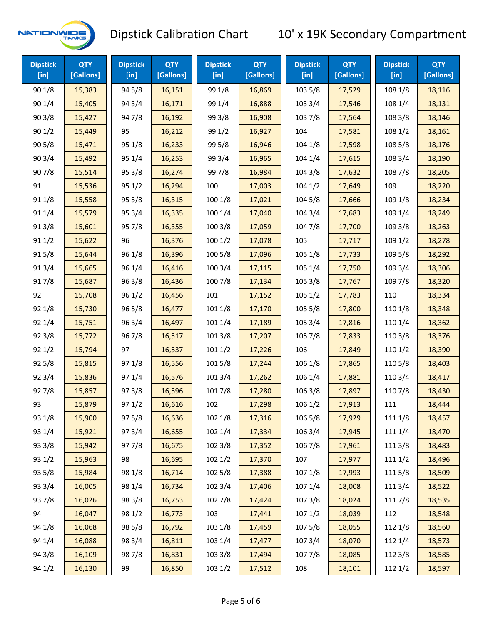

| <b>Dipstick</b><br>[ <sub>in</sub> ] | <b>QTY</b><br>[Gallons] | <b>Dipstick</b><br>[in] | <b>QTY</b><br>[Gallons] | <b>Dipstick</b><br>$[$ in] | <b>QTY</b><br>[Gallons] | <b>Dipstick</b><br>$[$ in] | <b>QTY</b><br>[Gallons] | <b>Dipstick</b><br>$[$ in] | <b>QTY</b><br>[Gallons] |
|--------------------------------------|-------------------------|-------------------------|-------------------------|----------------------------|-------------------------|----------------------------|-------------------------|----------------------------|-------------------------|
| 90 1/8                               | 15,383                  | 94 5/8                  | 16,151                  | 99 1/8                     | 16,869                  | 103 5/8                    | 17,529                  | 108 1/8                    | 18,116                  |
| 90 1/4                               | 15,405                  | 94 3/4                  | 16,171                  | 99 1/4                     | 16,888                  | 103 3/4                    | 17,546                  | 108 1/4                    | 18,131                  |
| 903/8                                | 15,427                  | 947/8                   | 16,192                  | 99 3/8                     | 16,908                  | 103 7/8                    | 17,564                  | 108 3/8                    | 18,146                  |
| 901/2                                | 15,449                  | 95                      | 16,212                  | 99 1/2                     | 16,927                  | 104                        | 17,581                  | 108 1/2                    | 18,161                  |
| 905/8                                | 15,471                  | 95 1/8                  | 16,233                  | 99 5/8                     | 16,946                  | 104 1/8                    | 17,598                  | 108 5/8                    | 18,176                  |
| 90 3/4                               | 15,492                  | 95 1/4                  | 16,253                  | 99 3/4                     | 16,965                  | 104 1/4                    | 17,615                  | 108 3/4                    | 18,190                  |
| 907/8                                | 15,514                  | 95 3/8                  | 16,274                  | 997/8                      | 16,984                  | 104 3/8                    | 17,632                  | 108 7/8                    | 18,205                  |
| 91                                   | 15,536                  | 95 1/2                  | 16,294                  | 100                        | 17,003                  | 1041/2                     | 17,649                  | 109                        | 18,220                  |
| 91 1/8                               | 15,558                  | 95 5/8                  | 16,315                  | 100 1/8                    | 17,021                  | 104 5/8                    | 17,666                  | 109 1/8                    | 18,234                  |
| 91 1/4                               | 15,579                  | 95 3/4                  | 16,335                  | 100 1/4                    | 17,040                  | 104 3/4                    | 17,683                  | 109 1/4                    | 18,249                  |
| 913/8                                | 15,601                  | 95 7/8                  | 16,355                  | 100 3/8                    | 17,059                  | 104 7/8                    | 17,700                  | 109 3/8                    | 18,263                  |
| 911/2                                | 15,622                  | 96                      | 16,376                  | 1001/2                     | 17,078                  | 105                        | 17,717                  | 109 1/2                    | 18,278                  |
| 915/8                                | 15,644                  | 96 1/8                  | 16,396                  | 100 5/8                    | 17,096                  | 105 1/8                    | 17,733                  | 109 5/8                    | 18,292                  |
| 913/4                                | 15,665                  | 96 1/4                  | 16,416                  | 100 3/4                    | 17,115                  | 105 1/4                    | 17,750                  | 109 3/4                    | 18,306                  |
| 917/8                                | 15,687                  | 96 3/8                  | 16,436                  | 100 7/8                    | 17,134                  | 105 3/8                    | 17,767                  | 109 7/8                    | 18,320                  |
| 92                                   | 15,708                  | 96 1/2                  | 16,456                  | 101                        | 17,152                  | 105 1/2                    | 17,783                  | 110                        | 18,334                  |
| 92 1/8                               | 15,730                  | 96 5/8                  | 16,477                  | 101 1/8                    | 17,170                  | 105 5/8                    | 17,800                  | 110 1/8                    | 18,348                  |
| 92 1/4                               | 15,751                  | 96 3/4                  | 16,497                  | 101 1/4                    | 17,189                  | 105 3/4                    | 17,816                  | 110 1/4                    | 18,362                  |
| 92 3/8                               | 15,772                  | 967/8                   | 16,517                  | 1013/8                     | 17,207                  | 105 7/8                    | 17,833                  | 110 3/8                    | 18,376                  |
| 921/2                                | 15,794                  | 97                      | 16,537                  | 1011/2                     | 17,226                  | 106                        | 17,849                  | 110 1/2                    | 18,390                  |
| 925/8                                | 15,815                  | 97 1/8                  | 16,556                  | 101 5/8                    | 17,244                  | 106 1/8                    | 17,865                  | 110 5/8                    | 18,403                  |
| 92 3/4                               | 15,836                  | 97 1/4                  | 16,576                  | 101 3/4                    | 17,262                  | 106 1/4                    | 17,881                  | 110 3/4                    | 18,417                  |
| 927/8                                | 15,857                  | 973/8                   | 16,596                  | 101 7/8                    | 17,280                  | 106 3/8                    | 17,897                  | 110 7/8                    | 18,430                  |
| 93                                   | 15,879                  | 97 1/2                  | 16,616                  | 102                        | 17,298                  | 1061/2                     | 17,913                  | 111                        | 18,444                  |
| 93 1/8                               | 15,900                  | 97 5/8                  | 16,636                  | 102 1/8                    | 17,316                  | 106 5/8                    | 17,929                  | 111 1/8                    | 18,457                  |
| 93 1/4                               | 15,921                  | 973/4                   | 16,655                  | 102 1/4                    | 17,334                  | 106 3/4                    | 17,945                  | 111 1/4                    | 18,470                  |
| 93 3/8                               | 15,942                  | 977/8                   | 16,675                  | 102 3/8                    | 17,352                  | 106 7/8                    | 17,961                  | 111 3/8                    | 18,483                  |
| 93 1/2                               | 15,963                  | 98                      | 16,695                  | 1021/2                     | 17,370                  | 107                        | 17,977                  | 111 1/2                    | 18,496                  |
| 93 5/8                               | 15,984                  | 98 1/8                  | 16,714                  | 102 5/8                    | 17,388                  | 107 1/8                    | 17,993                  | 1115/8                     | 18,509                  |
| 93 3/4                               | 16,005                  | 98 1/4                  | 16,734                  | 102 3/4                    | 17,406                  | 107 1/4                    | 18,008                  | 111 3/4                    | 18,522                  |
| 937/8                                | 16,026                  | 98 3/8                  | 16,753                  | 102 7/8                    | 17,424                  | 107 3/8                    | 18,024                  | 111 7/8                    | 18,535                  |
| 94                                   | 16,047                  | 98 1/2                  | 16,773                  | 103                        | 17,441                  | 1071/2                     | 18,039                  | 112                        | 18,548                  |
| 94 1/8                               | 16,068                  | 98 5/8                  | 16,792                  | 103 1/8                    | 17,459                  | 1075/8                     | 18,055                  | 112 1/8                    | 18,560                  |
| 94 1/4                               | 16,088                  | 98 3/4                  | 16,811                  | 103 1/4                    | 17,477                  | 107 3/4                    | 18,070                  | 112 1/4                    | 18,573                  |
| 94 3/8                               | 16,109                  | 987/8                   | 16,831                  | 103 3/8                    | 17,494                  | 1077/8                     | 18,085                  | 112 3/8                    | 18,585                  |
| 94 1/2                               | 16,130                  | 99                      | 16,850                  | 103 1/2                    | 17,512                  | 108                        | 18,101                  | 112 1/2                    | 18,597                  |